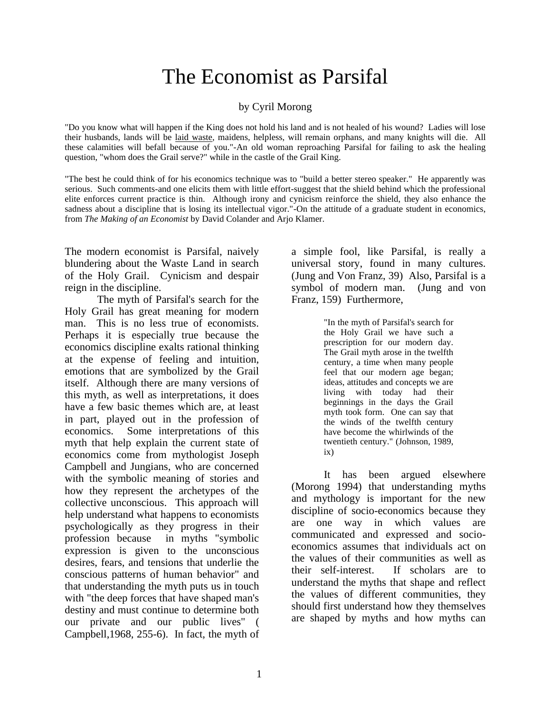# The Economist as Parsifal

#### by Cyril Morong

"Do you know what will happen if the King does not hold his land and is not healed of his wound? Ladies will lose their husbands, lands will be laid waste, maidens, helpless, will remain orphans, and many knights will die. All these calamities will befall because of you."-An old woman reproaching Parsifal for failing to ask the healing question, "whom does the Grail serve?" while in the castle of the Grail King.

"The best he could think of for his economics technique was to "build a better stereo speaker." He apparently was serious. Such comments-and one elicits them with little effort-suggest that the shield behind which the professional elite enforces current practice is thin. Although irony and cynicism reinforce the shield, they also enhance the sadness about a discipline that is losing its intellectual vigor."-On the attitude of a graduate student in economics, from *The Making of an Economist* by David Colander and Arjo Klamer.

The modern economist is Parsifal, naively blundering about the Waste Land in search of the Holy Grail. Cynicism and despair reign in the discipline.

The myth of Parsifal's search for the Holy Grail has great meaning for modern man. This is no less true of economists. Perhaps it is especially true because the economics discipline exalts rational thinking at the expense of feeling and intuition, emotions that are symbolized by the Grail itself. Although there are many versions of this myth, as well as interpretations, it does have a few basic themes which are, at least in part, played out in the profession of economics. Some interpretations of this myth that help explain the current state of economics come from mythologist Joseph Campbell and Jungians, who are concerned with the symbolic meaning of stories and how they represent the archetypes of the collective unconscious. This approach will help understand what happens to economists psychologically as they progress in their profession because in myths "symbolic expression is given to the unconscious desires, fears, and tensions that underlie the conscious patterns of human behavior" and that understanding the myth puts us in touch with "the deep forces that have shaped man's destiny and must continue to determine both our private and our public lives" ( Campbell,1968, 255-6). In fact, the myth of

a simple fool, like Parsifal, is really a universal story, found in many cultures. (Jung and Von Franz, 39) Also, Parsifal is a symbol of modern man. (Jung and von Franz, 159) Furthermore,

> "In the myth of Parsifal's search for the Holy Grail we have such a prescription for our modern day. The Grail myth arose in the twelfth century, a time when many people feel that our modern age began; ideas, attitudes and concepts we are living with today had their beginnings in the days the Grail myth took form. One can say that the winds of the twelfth century have become the whirlwinds of the twentieth century." (Johnson, 1989, ix)

It has been argued elsewhere (Morong 1994) that understanding myths and mythology is important for the new discipline of socio-economics because they are one way in which values are communicated and expressed and socioeconomics assumes that individuals act on the values of their communities as well as their self-interest. If scholars are to understand the myths that shape and reflect the values of different communities, they should first understand how they themselves are shaped by myths and how myths can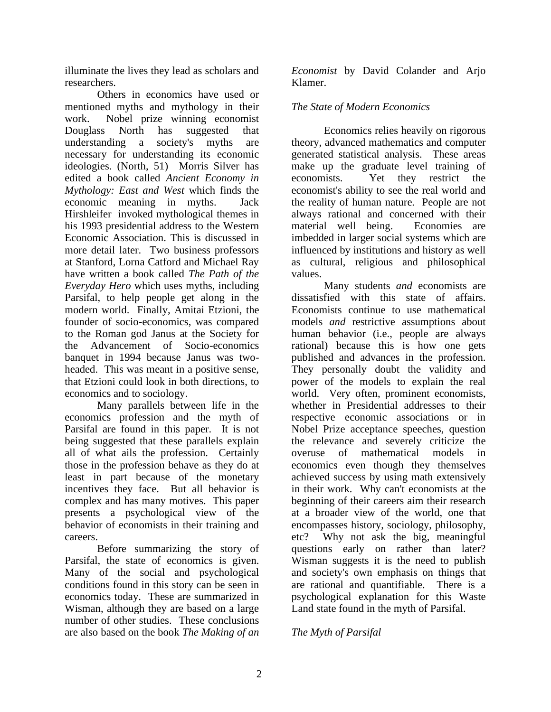illuminate the lives they lead as scholars and researchers.

Others in economics have used or mentioned myths and mythology in their work. Nobel prize winning economist Douglass North has suggested that understanding a society's myths are necessary for understanding its economic ideologies. (North, 51) Morris Silver has edited a book called *Ancient Economy in Mythology: East and West* which finds the economic meaning in myths. Jack Hirshleifer invoked mythological themes in his 1993 presidential address to the Western Economic Association. This is discussed in more detail later. Two business professors at Stanford, Lorna Catford and Michael Ray have written a book called *The Path of the Everyday Hero* which uses myths, including Parsifal, to help people get along in the modern world. Finally, Amitai Etzioni, the founder of socio-economics, was compared to the Roman god Janus at the Society for the Advancement of Socio-economics banquet in 1994 because Janus was twoheaded. This was meant in a positive sense, that Etzioni could look in both directions, to economics and to sociology.

Many parallels between life in the economics profession and the myth of Parsifal are found in this paper. It is not being suggested that these parallels explain all of what ails the profession. Certainly those in the profession behave as they do at least in part because of the monetary incentives they face. But all behavior is complex and has many motives. This paper presents a psychological view of the behavior of economists in their training and careers.

Before summarizing the story of Parsifal, the state of economics is given. Many of the social and psychological conditions found in this story can be seen in economics today. These are summarized in Wisman, although they are based on a large number of other studies. These conclusions are also based on the book *The Making of an* 

*Economist* by David Colander and Arjo Klamer.

## *The State of Modern Economics*

Economics relies heavily on rigorous theory, advanced mathematics and computer generated statistical analysis. These areas make up the graduate level training of economists. Yet they restrict the economist's ability to see the real world and the reality of human nature. People are not always rational and concerned with their material well being. Economies are imbedded in larger social systems which are influenced by institutions and history as well as cultural, religious and philosophical values.

Many students *and* economists are dissatisfied with this state of affairs. Economists continue to use mathematical models *and* restrictive assumptions about human behavior (i.e., people are always rational) because this is how one gets published and advances in the profession. They personally doubt the validity and power of the models to explain the real world. Very often, prominent economists, whether in Presidential addresses to their respective economic associations or in Nobel Prize acceptance speeches, question the relevance and severely criticize the overuse of mathematical models in economics even though they themselves achieved success by using math extensively in their work. Why can't economists at the beginning of their careers aim their research at a broader view of the world, one that encompasses history, sociology, philosophy, etc? Why not ask the big, meaningful questions early on rather than later? Wisman suggests it is the need to publish and society's own emphasis on things that are rational and quantifiable. There is a psychological explanation for this Waste Land state found in the myth of Parsifal.

## *The Myth of Parsifal*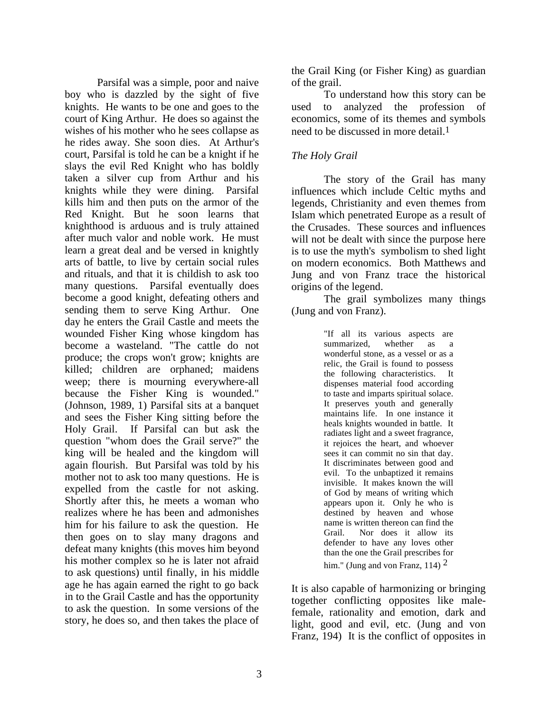Parsifal was a simple, poor and naive boy who is dazzled by the sight of five knights. He wants to be one and goes to the court of King Arthur. He does so against the wishes of his mother who he sees collapse as he rides away. She soon dies. At Arthur's court, Parsifal is told he can be a knight if he slays the evil Red Knight who has boldly taken a silver cup from Arthur and his knights while they were dining. Parsifal kills him and then puts on the armor of the Red Knight. But he soon learns that knighthood is arduous and is truly attained after much valor and noble work. He must learn a great deal and be versed in knightly arts of battle, to live by certain social rules and rituals, and that it is childish to ask too many questions. Parsifal eventually does become a good knight, defeating others and sending them to serve King Arthur. One day he enters the Grail Castle and meets the wounded Fisher King whose kingdom has become a wasteland. "The cattle do not produce; the crops won't grow; knights are killed; children are orphaned; maidens weep; there is mourning everywhere-all because the Fisher King is wounded." (Johnson, 1989, 1) Parsifal sits at a banquet and sees the Fisher King sitting before the Holy Grail. If Parsifal can but ask the question "whom does the Grail serve?" the king will be healed and the kingdom will again flourish. But Parsifal was told by his mother not to ask too many questions. He is expelled from the castle for not asking. Shortly after this, he meets a woman who realizes where he has been and admonishes him for his failure to ask the question. He then goes on to slay many dragons and defeat many knights (this moves him beyond his mother complex so he is later not afraid to ask questions) until finally, in his middle age he has again earned the right to go back in to the Grail Castle and has the opportunity to ask the question. In some versions of the story, he does so, and then takes the place of

the Grail King (or Fisher King) as guardian of the grail.

To understand how this story can be used to analyzed the profession of economics, some of its themes and symbols need to be discussed in more detail.<sup>1</sup>

### *The Holy Grail*

The story of the Grail has many influences which include Celtic myths and legends, Christianity and even themes from Islam which penetrated Europe as a result of the Crusades. These sources and influences will not be dealt with since the purpose here is to use the myth's symbolism to shed light on modern economics. Both Matthews and Jung and von Franz trace the historical origins of the legend.

The grail symbolizes many things (Jung and von Franz).

> "If all its various aspects are summarized, whether as a wonderful stone, as a vessel or as a relic, the Grail is found to possess the following characteristics. It dispenses material food according to taste and imparts spiritual solace. It preserves youth and generally maintains life. In one instance it heals knights wounded in battle. It radiates light and a sweet fragrance, it rejoices the heart, and whoever sees it can commit no sin that day. It discriminates between good and evil. To the unbaptized it remains invisible. It makes known the will of God by means of writing which appears upon it. Only he who is destined by heaven and whose name is written thereon can find the Grail. Nor does it allow its defender to have any loves other than the one the Grail prescribes for him." (Jung and von Franz, 114)  $2$

It is also capable of harmonizing or bringing together conflicting opposites like malefemale, rationality and emotion, dark and light, good and evil, etc. (Jung and von Franz, 194) It is the conflict of opposites in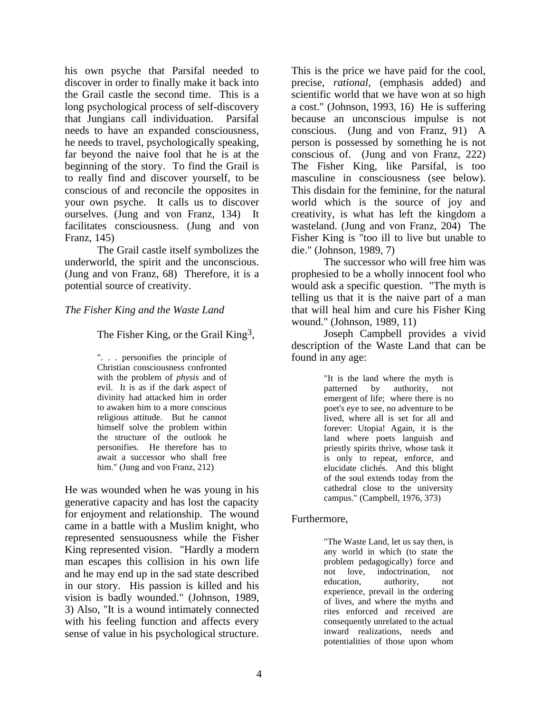his own psyche that Parsifal needed to discover in order to finally make it back into the Grail castle the second time. This is a long psychological process of self-discovery that Jungians call individuation. Parsifal needs to have an expanded consciousness, he needs to travel, psychologically speaking, far beyond the naive fool that he is at the beginning of the story. To find the Grail is to really find and discover yourself, to be conscious of and reconcile the opposites in your own psyche. It calls us to discover ourselves. (Jung and von Franz, 134) It facilitates consciousness. (Jung and von Franz, 145)

The Grail castle itself symbolizes the underworld, the spirit and the unconscious. (Jung and von Franz, 68) Therefore, it is a potential source of creativity.

#### *The Fisher King and the Waste Land*

The Fisher King, or the Grail King<sup>3</sup>,

". . . personifies the principle of Christian consciousness confronted with the problem of *physis* and of evil. It is as if the dark aspect of divinity had attacked him in order to awaken him to a more conscious religious attitude. But he cannot himself solve the problem within the structure of the outlook he personifies. He therefore has to await a successor who shall free him." (Jung and von Franz, 212)

He was wounded when he was young in his generative capacity and has lost the capacity for enjoyment and relationship. The wound came in a battle with a Muslim knight, who represented sensuousness while the Fisher King represented vision. "Hardly a modern man escapes this collision in his own life and he may end up in the sad state described in our story. His passion is killed and his vision is badly wounded." (Johnson, 1989, 3) Also, "It is a wound intimately connected with his feeling function and affects every sense of value in his psychological structure.

This is the price we have paid for the cool, precise, *rational*, (emphasis added) and scientific world that we have won at so high a cost." (Johnson, 1993, 16) He is suffering because an unconscious impulse is not conscious. (Jung and von Franz, 91) A person is possessed by something he is not conscious of. (Jung and von Franz, 222) The Fisher King, like Parsifal, is too masculine in consciousness (see below). This disdain for the feminine, for the natural world which is the source of joy and creativity, is what has left the kingdom a wasteland. (Jung and von Franz, 204) The Fisher King is "too ill to live but unable to die." (Johnson, 1989, 7)

The successor who will free him was prophesied to be a wholly innocent fool who would ask a specific question. "The myth is telling us that it is the naive part of a man that will heal him and cure his Fisher King wound." (Johnson, 1989, 11)

Joseph Campbell provides a vivid description of the Waste Land that can be found in any age:

> "It is the land where the myth is patterned by authority, not emergent of life; where there is no poet's eye to see, no adventure to be lived, where all is set for all and forever: Utopia! Again, it is the land where poets languish and priestly spirits thrive, whose task it is only to repeat, enforce, and elucidate clichés. And this blight of the soul extends today from the cathedral close to the university campus." (Campbell, 1976, 373)

#### Furthermore,

"The Waste Land, let us say then, is any world in which (to state the problem pedagogically) force and not love, indoctrination, not education, authority, not experience, prevail in the ordering of lives, and where the myths and rites enforced and received are consequently unrelated to the actual inward realizations, needs and potentialities of those upon whom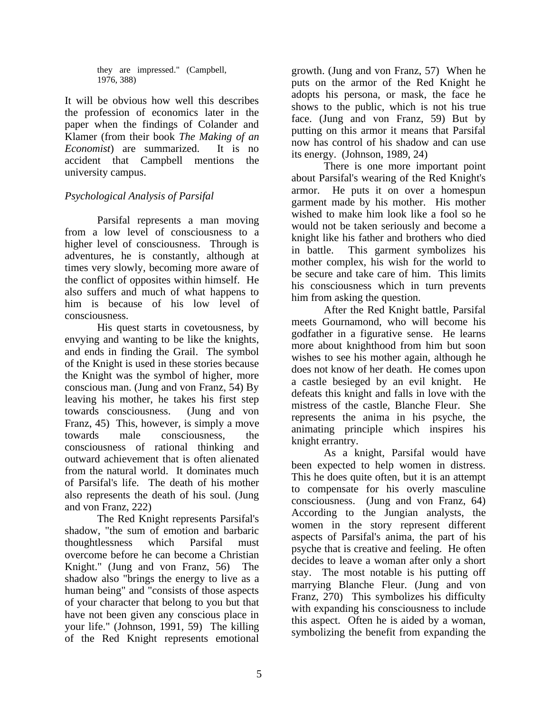they are impressed." (Campbell, 1976, 388)

It will be obvious how well this describes the profession of economics later in the paper when the findings of Colander and Klamer (from their book *The Making of an Economist*) are summarized. It is no accident that Campbell mentions the university campus.

## *Psychological Analysis of Parsifal*

Parsifal represents a man moving from a low level of consciousness to a higher level of consciousness. Through is adventures, he is constantly, although at times very slowly, becoming more aware of the conflict of opposites within himself. He also suffers and much of what happens to him is because of his low level of consciousness.

His quest starts in covetousness, by envying and wanting to be like the knights, and ends in finding the Grail. The symbol of the Knight is used in these stories because the Knight was the symbol of higher, more conscious man. (Jung and von Franz, 54) By leaving his mother, he takes his first step towards consciousness. (Jung and von Franz, 45) This, however, is simply a move towards male consciousness, the consciousness of rational thinking and outward achievement that is often alienated from the natural world. It dominates much of Parsifal's life. The death of his mother also represents the death of his soul. (Jung and von Franz, 222)

The Red Knight represents Parsifal's shadow, "the sum of emotion and barbaric thoughtlessness which Parsifal must overcome before he can become a Christian Knight." (Jung and von Franz, 56) The shadow also "brings the energy to live as a human being" and "consists of those aspects of your character that belong to you but that have not been given any conscious place in your life." (Johnson, 1991, 59) The killing of the Red Knight represents emotional

growth. (Jung and von Franz, 57) When he puts on the armor of the Red Knight he adopts his persona, or mask, the face he shows to the public, which is not his true face. (Jung and von Franz, 59) But by putting on this armor it means that Parsifal now has control of his shadow and can use its energy. (Johnson, 1989, 24)

There is one more important point about Parsifal's wearing of the Red Knight's armor. He puts it on over a homespun garment made by his mother. His mother wished to make him look like a fool so he would not be taken seriously and become a knight like his father and brothers who died in battle. This garment symbolizes his mother complex, his wish for the world to be secure and take care of him. This limits his consciousness which in turn prevents him from asking the question.

After the Red Knight battle, Parsifal meets Gournamond, who will become his godfather in a figurative sense. He learns more about knighthood from him but soon wishes to see his mother again, although he does not know of her death. He comes upon a castle besieged by an evil knight. He defeats this knight and falls in love with the mistress of the castle, Blanche Fleur. She represents the anima in his psyche, the animating principle which inspires his knight errantry.

As a knight, Parsifal would have been expected to help women in distress. This he does quite often, but it is an attempt to compensate for his overly masculine consciousness. (Jung and von Franz, 64) According to the Jungian analysts, the women in the story represent different aspects of Parsifal's anima, the part of his psyche that is creative and feeling. He often decides to leave a woman after only a short stay. The most notable is his putting off marrying Blanche Fleur. (Jung and von Franz, 270) This symbolizes his difficulty with expanding his consciousness to include this aspect. Often he is aided by a woman, symbolizing the benefit from expanding the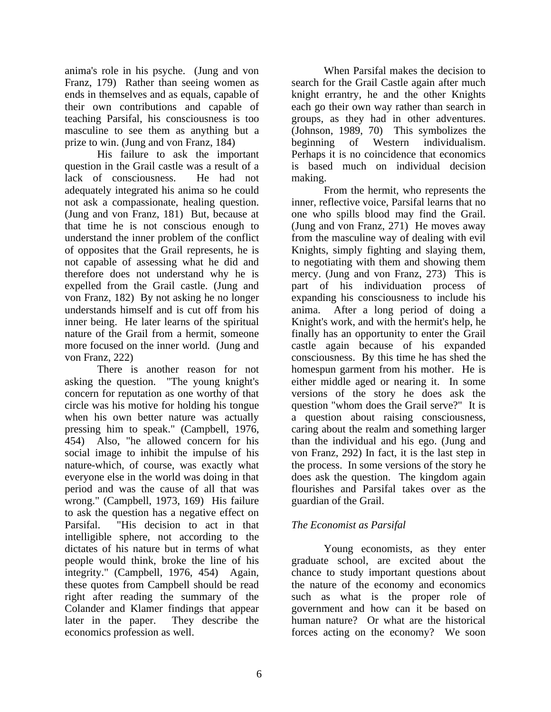anima's role in his psyche. (Jung and von Franz, 179) Rather than seeing women as ends in themselves and as equals, capable of their own contributions and capable of teaching Parsifal, his consciousness is too masculine to see them as anything but a prize to win. (Jung and von Franz, 184)

His failure to ask the important question in the Grail castle was a result of a lack of consciousness. He had not adequately integrated his anima so he could not ask a compassionate, healing question. (Jung and von Franz, 181) But, because at that time he is not conscious enough to understand the inner problem of the conflict of opposites that the Grail represents, he is not capable of assessing what he did and therefore does not understand why he is expelled from the Grail castle. (Jung and von Franz, 182) By not asking he no longer understands himself and is cut off from his inner being. He later learns of the spiritual nature of the Grail from a hermit, someone more focused on the inner world. (Jung and von Franz, 222)

There is another reason for not asking the question. "The young knight's concern for reputation as one worthy of that circle was his motive for holding his tongue when his own better nature was actually pressing him to speak." (Campbell, 1976, 454) Also, "he allowed concern for his social image to inhibit the impulse of his nature-which, of course, was exactly what everyone else in the world was doing in that period and was the cause of all that was wrong." (Campbell, 1973, 169) His failure to ask the question has a negative effect on Parsifal. "His decision to act in that intelligible sphere, not according to the dictates of his nature but in terms of what people would think, broke the line of his integrity." (Campbell, 1976, 454) Again, these quotes from Campbell should be read right after reading the summary of the Colander and Klamer findings that appear later in the paper. They describe the economics profession as well.

When Parsifal makes the decision to search for the Grail Castle again after much knight errantry, he and the other Knights each go their own way rather than search in groups, as they had in other adventures. (Johnson, 1989, 70) This symbolizes the beginning of Western individualism. Perhaps it is no coincidence that economics is based much on individual decision making.

From the hermit, who represents the inner, reflective voice, Parsifal learns that no one who spills blood may find the Grail. (Jung and von Franz, 271) He moves away from the masculine way of dealing with evil Knights, simply fighting and slaying them, to negotiating with them and showing them mercy. (Jung and von Franz, 273) This is part of his individuation process of expanding his consciousness to include his anima. After a long period of doing a Knight's work, and with the hermit's help, he finally has an opportunity to enter the Grail castle again because of his expanded consciousness. By this time he has shed the homespun garment from his mother. He is either middle aged or nearing it. In some versions of the story he does ask the question "whom does the Grail serve?" It is a question about raising consciousness, caring about the realm and something larger than the individual and his ego. (Jung and von Franz, 292) In fact, it is the last step in the process. In some versions of the story he does ask the question. The kingdom again flourishes and Parsifal takes over as the guardian of the Grail.

## *The Economist as Parsifal*

Young economists, as they enter graduate school, are excited about the chance to study important questions about the nature of the economy and economics such as what is the proper role of government and how can it be based on human nature? Or what are the historical forces acting on the economy? We soon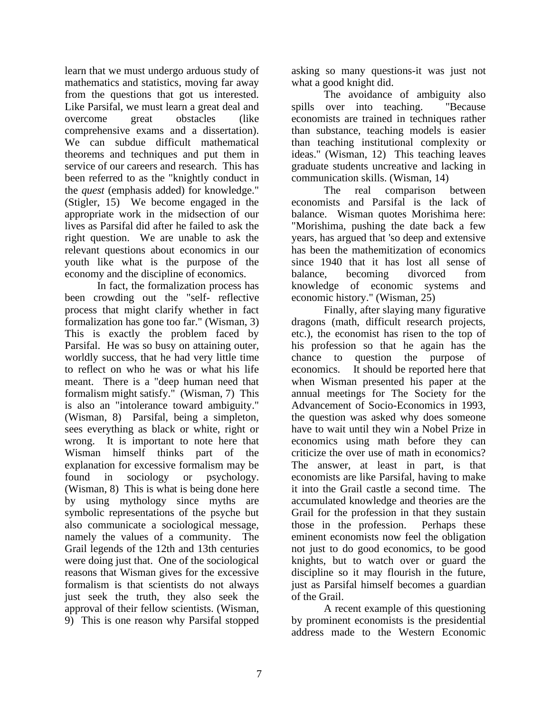learn that we must undergo arduous study of mathematics and statistics, moving far away from the questions that got us interested. Like Parsifal, we must learn a great deal and overcome great obstacles (like comprehensive exams and a dissertation). We can subdue difficult mathematical theorems and techniques and put them in service of our careers and research. This has been referred to as the "knightly conduct in the *quest* (emphasis added) for knowledge." (Stigler, 15) We become engaged in the appropriate work in the midsection of our lives as Parsifal did after he failed to ask the right question. We are unable to ask the relevant questions about economics in our youth like what is the purpose of the economy and the discipline of economics.

In fact, the formalization process has been crowding out the "self- reflective process that might clarify whether in fact formalization has gone too far." (Wisman, 3) This is exactly the problem faced by Parsifal. He was so busy on attaining outer, worldly success, that he had very little time to reflect on who he was or what his life meant. There is a "deep human need that formalism might satisfy." (Wisman, 7) This is also an "intolerance toward ambiguity." (Wisman, 8) Parsifal, being a simpleton, sees everything as black or white, right or wrong. It is important to note here that Wisman himself thinks part of the explanation for excessive formalism may be found in sociology or psychology. (Wisman, 8) This is what is being done here by using mythology since myths are symbolic representations of the psyche but also communicate a sociological message, namely the values of a community. The Grail legends of the 12th and 13th centuries were doing just that. One of the sociological reasons that Wisman gives for the excessive formalism is that scientists do not always just seek the truth, they also seek the approval of their fellow scientists. (Wisman, 9) This is one reason why Parsifal stopped

asking so many questions-it was just not what a good knight did.

The avoidance of ambiguity also spills over into teaching. "Because economists are trained in techniques rather than substance, teaching models is easier than teaching institutional complexity or ideas." (Wisman, 12) This teaching leaves graduate students uncreative and lacking in communication skills. (Wisman, 14)

The real comparison between economists and Parsifal is the lack of balance. Wisman quotes Morishima here: "Morishima, pushing the date back a few years, has argued that 'so deep and extensive has been the mathemitization of economics since 1940 that it has lost all sense of balance, becoming divorced from knowledge of economic systems and economic history." (Wisman, 25)

Finally, after slaying many figurative dragons (math, difficult research projects, etc.), the economist has risen to the top of his profession so that he again has the chance to question the purpose of economics. It should be reported here that when Wisman presented his paper at the annual meetings for The Society for the Advancement of Socio-Economics in 1993, the question was asked why does someone have to wait until they win a Nobel Prize in economics using math before they can criticize the over use of math in economics? The answer, at least in part, is that economists are like Parsifal, having to make it into the Grail castle a second time. The accumulated knowledge and theories are the Grail for the profession in that they sustain those in the profession. Perhaps these eminent economists now feel the obligation not just to do good economics, to be good knights, but to watch over or guard the discipline so it may flourish in the future, just as Parsifal himself becomes a guardian of the Grail.

A recent example of this questioning by prominent economists is the presidential address made to the Western Economic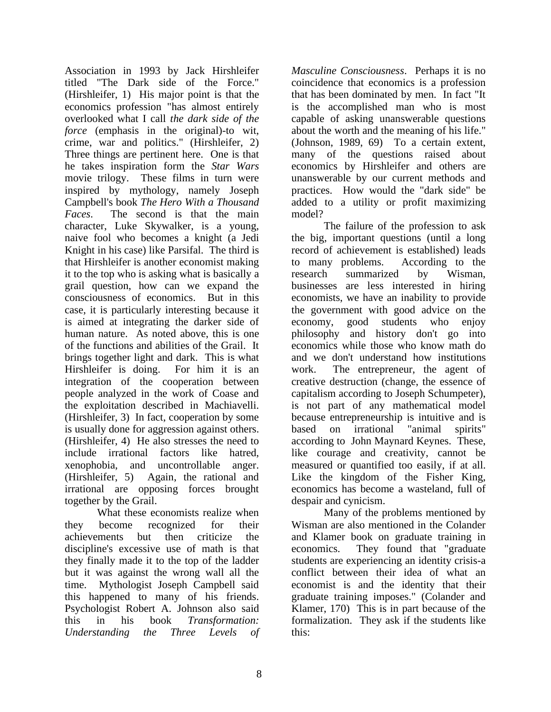Association in 1993 by Jack Hirshleifer titled "The Dark side of the Force." (Hirshleifer, 1) His major point is that the economics profession "has almost entirely overlooked what I call *the dark side of the force* (emphasis in the original)-to wit, crime, war and politics." (Hirshleifer, 2) Three things are pertinent here. One is that he takes inspiration form the *Star Wars* movie trilogy. These films in turn were inspired by mythology, namely Joseph Campbell's book *The Hero With a Thousand Faces*. The second is that the main character, Luke Skywalker, is a young, naive fool who becomes a knight (a Jedi Knight in his case) like Parsifal. The third is that Hirshleifer is another economist making it to the top who is asking what is basically a grail question, how can we expand the consciousness of economics. But in this case, it is particularly interesting because it is aimed at integrating the darker side of human nature. As noted above, this is one of the functions and abilities of the Grail. It brings together light and dark. This is what Hirshleifer is doing. For him it is an integration of the cooperation between people analyzed in the work of Coase and the exploitation described in Machiavelli. (Hirshleifer, 3) In fact, cooperation by some is usually done for aggression against others. (Hirshleifer, 4) He also stresses the need to include irrational factors like hatred, xenophobia, and uncontrollable anger. (Hirshleifer, 5) Again, the rational and irrational are opposing forces brought together by the Grail.

What these economists realize when they become recognized for their achievements but then criticize the discipline's excessive use of math is that they finally made it to the top of the ladder but it was against the wrong wall all the time. Mythologist Joseph Campbell said this happened to many of his friends. Psychologist Robert A. Johnson also said this in his book *Transformation: Understanding the Three Levels of*  *Masculine Consciousness*. Perhaps it is no coincidence that economics is a profession that has been dominated by men. In fact "It is the accomplished man who is most capable of asking unanswerable questions about the worth and the meaning of his life." (Johnson, 1989, 69) To a certain extent, many of the questions raised about economics by Hirshleifer and others are unanswerable by our current methods and practices. How would the "dark side" be added to a utility or profit maximizing model?

The failure of the profession to ask the big, important questions (until a long record of achievement is established) leads to many problems. According to the research summarized by Wisman, businesses are less interested in hiring economists, we have an inability to provide the government with good advice on the economy, good students who enjoy philosophy and history don't go into economics while those who know math do and we don't understand how institutions work. The entrepreneur, the agent of creative destruction (change, the essence of capitalism according to Joseph Schumpeter), is not part of any mathematical model because entrepreneurship is intuitive and is based on irrational "animal spirits" according to John Maynard Keynes. These, like courage and creativity, cannot be measured or quantified too easily, if at all. Like the kingdom of the Fisher King, economics has become a wasteland, full of despair and cynicism.

Many of the problems mentioned by Wisman are also mentioned in the Colander and Klamer book on graduate training in economics. They found that "graduate students are experiencing an identity crisis-a conflict between their idea of what an economist is and the identity that their graduate training imposes." (Colander and Klamer, 170) This is in part because of the formalization. They ask if the students like this: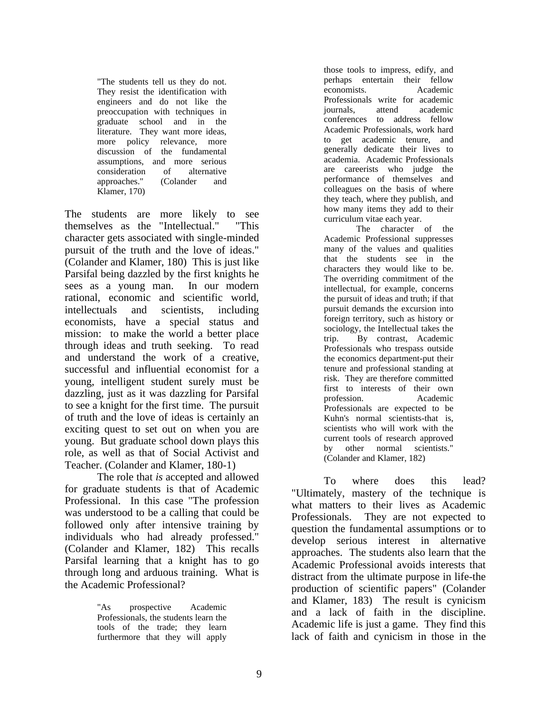"The students tell us they do not. They resist the identification with engineers and do not like the preoccupation with techniques in graduate school and in the literature. They want more ideas, more policy relevance, more discussion of the fundamental assumptions, and more serious consideration of alternative approaches." (Colander and Klamer, 170)

The students are more likely to see themselves as the "Intellectual." "This character gets associated with single-minded pursuit of the truth and the love of ideas." (Colander and Klamer, 180) This is just like Parsifal being dazzled by the first knights he sees as a young man. In our modern rational, economic and scientific world, intellectuals and scientists, including economists, have a special status and mission: to make the world a better place through ideas and truth seeking. To read and understand the work of a creative, successful and influential economist for a young, intelligent student surely must be dazzling, just as it was dazzling for Parsifal to see a knight for the first time. The pursuit of truth and the love of ideas is certainly an exciting quest to set out on when you are young. But graduate school down plays this role, as well as that of Social Activist and Teacher. (Colander and Klamer, 180-1)

The role that *is* accepted and allowed for graduate students is that of Academic Professional. In this case "The profession was understood to be a calling that could be followed only after intensive training by individuals who had already professed." (Colander and Klamer, 182) This recalls Parsifal learning that a knight has to go through long and arduous training. What is the Academic Professional?

> "As prospective Academic Professionals, the students learn the tools of the trade; they learn furthermore that they will apply

those tools to impress, edify, and perhaps entertain their fellow economists. Academic Professionals write for academic journals, attend academic conferences to address fellow Academic Professionals, work hard to get academic tenure, and generally dedicate their lives to academia. Academic Professionals are careerists who judge the performance of themselves and colleagues on the basis of where they teach, where they publish, and how many items they add to their curriculum vitae each year.

The character of the Academic Professional suppresses many of the values and qualities that the students see in the characters they would like to be. The overriding commitment of the intellectual, for example, concerns the pursuit of ideas and truth; if that pursuit demands the excursion into foreign territory, such as history or sociology, the Intellectual takes the trip. By contrast, Academic Professionals who trespass outside the economics department-put their tenure and professional standing at risk. They are therefore committed first to interests of their own profession. Academic Professionals are expected to be Kuhn's normal scientists-that is, scientists who will work with the current tools of research approved by other normal scientists." (Colander and Klamer, 182)

To where does this lead? "Ultimately, mastery of the technique is what matters to their lives as Academic Professionals. They are not expected to question the fundamental assumptions or to develop serious interest in alternative approaches. The students also learn that the Academic Professional avoids interests that distract from the ultimate purpose in life-the production of scientific papers" (Colander and Klamer, 183) The result is cynicism and a lack of faith in the discipline. Academic life is just a game. They find this lack of faith and cynicism in those in the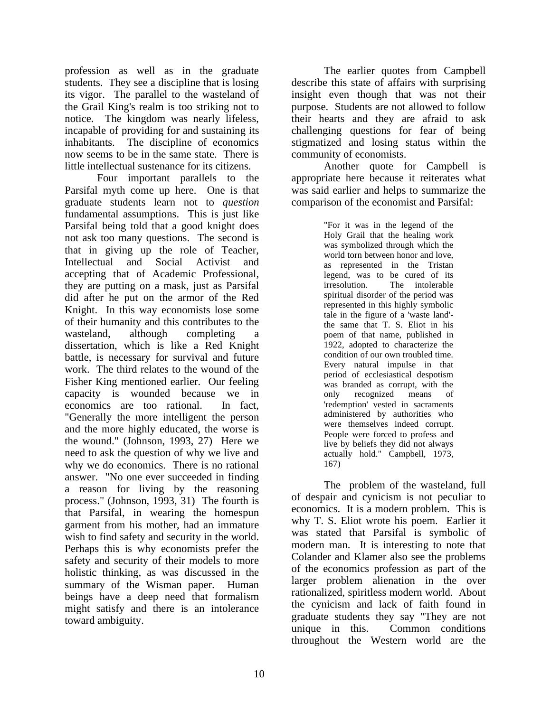profession as well as in the graduate students. They see a discipline that is losing its vigor. The parallel to the wasteland of the Grail King's realm is too striking not to notice. The kingdom was nearly lifeless, incapable of providing for and sustaining its inhabitants. The discipline of economics now seems to be in the same state. There is little intellectual sustenance for its citizens.

Four important parallels to the Parsifal myth come up here. One is that graduate students learn not to *question* fundamental assumptions. This is just like Parsifal being told that a good knight does not ask too many questions. The second is that in giving up the role of Teacher, Intellectual and Social Activist and accepting that of Academic Professional, they are putting on a mask, just as Parsifal did after he put on the armor of the Red Knight. In this way economists lose some of their humanity and this contributes to the wasteland, although completing dissertation, which is like a Red Knight battle, is necessary for survival and future work. The third relates to the wound of the Fisher King mentioned earlier. Our feeling capacity is wounded because we in economics are too rational. In fact, "Generally the more intelligent the person and the more highly educated, the worse is the wound." (Johnson, 1993, 27) Here we need to ask the question of why we live and why we do economics. There is no rational answer. "No one ever succeeded in finding a reason for living by the reasoning process." (Johnson, 1993, 31) The fourth is that Parsifal, in wearing the homespun garment from his mother, had an immature wish to find safety and security in the world. Perhaps this is why economists prefer the safety and security of their models to more holistic thinking, as was discussed in the summary of the Wisman paper. Human beings have a deep need that formalism might satisfy and there is an intolerance toward ambiguity.

The earlier quotes from Campbell describe this state of affairs with surprising insight even though that was not their purpose. Students are not allowed to follow their hearts and they are afraid to ask challenging questions for fear of being stigmatized and losing status within the community of economists.

Another quote for Campbell is appropriate here because it reiterates what was said earlier and helps to summarize the comparison of the economist and Parsifal:

> "For it was in the legend of the Holy Grail that the healing work was symbolized through which the world torn between honor and love, as represented in the Tristan legend, was to be cured of its irresolution. The intolerable spiritual disorder of the period was represented in this highly symbolic tale in the figure of a 'waste land' the same that T. S. Eliot in his poem of that name, published in 1922, adopted to characterize the condition of our own troubled time. Every natural impulse in that period of ecclesiastical despotism was branded as corrupt, with the only recognized means of 'redemption' vested in sacraments administered by authorities who were themselves indeed corrupt. People were forced to profess and live by beliefs they did not always actually hold." Campbell, 1973, 167)

The problem of the wasteland, full of despair and cynicism is not peculiar to economics. It is a modern problem. This is why T. S. Eliot wrote his poem. Earlier it was stated that Parsifal is symbolic of modern man. It is interesting to note that Colander and Klamer also see the problems of the economics profession as part of the larger problem alienation in the over rationalized, spiritless modern world. About the cynicism and lack of faith found in graduate students they say "They are not unique in this. Common conditions throughout the Western world are the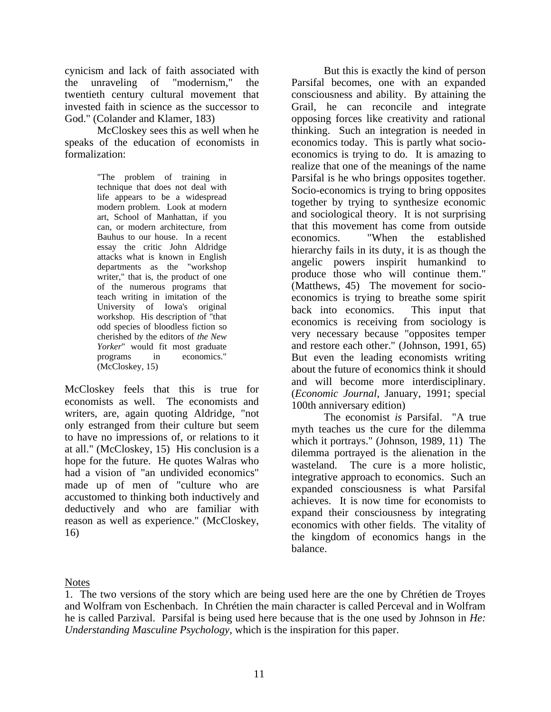cynicism and lack of faith associated with the unraveling of "modernism," the twentieth century cultural movement that invested faith in science as the successor to God." (Colander and Klamer, 183)

McCloskey sees this as well when he speaks of the education of economists in formalization:

> "The problem of training in technique that does not deal with life appears to be a widespread modern problem. Look at modern art, School of Manhattan, if you can, or modern architecture, from Bauhus to our house. In a recent essay the critic John Aldridge attacks what is known in English departments as the "workshop writer," that is, the product of one of the numerous programs that teach writing in imitation of the University of Iowa's original workshop. His description of "that odd species of bloodless fiction so cherished by the editors of *the New Yorker*" would fit most graduate programs in economics." (McCloskey, 15)

McCloskey feels that this is true for economists as well. The economists and writers, are, again quoting Aldridge, "not only estranged from their culture but seem to have no impressions of, or relations to it at all." (McCloskey, 15) His conclusion is a hope for the future. He quotes Walras who had a vision of "an undivided economics" made up of men of "culture who are accustomed to thinking both inductively and deductively and who are familiar with reason as well as experience." (McCloskey, 16)

But this is exactly the kind of person Parsifal becomes, one with an expanded consciousness and ability. By attaining the Grail, he can reconcile and integrate opposing forces like creativity and rational thinking. Such an integration is needed in economics today. This is partly what socioeconomics is trying to do. It is amazing to realize that one of the meanings of the name Parsifal is he who brings opposites together. Socio-economics is trying to bring opposites together by trying to synthesize economic and sociological theory. It is not surprising that this movement has come from outside economics. "When the established hierarchy fails in its duty, it is as though the angelic powers inspirit humankind to produce those who will continue them." (Matthews, 45) The movement for socioeconomics is trying to breathe some spirit back into economics. This input that economics is receiving from sociology is very necessary because "opposites temper and restore each other." (Johnson, 1991, 65) But even the leading economists writing about the future of economics think it should and will become more interdisciplinary. (*Economic Journal*, January, 1991; special 100th anniversary edition)

The economist *is* Parsifal. "A true myth teaches us the cure for the dilemma which it portrays." (Johnson, 1989, 11) The dilemma portrayed is the alienation in the wasteland. The cure is a more holistic, integrative approach to economics. Such an expanded consciousness is what Parsifal achieves. It is now time for economists to expand their consciousness by integrating economics with other fields. The vitality of the kingdom of economics hangs in the balance.

#### **Notes**

<sup>1.</sup> The two versions of the story which are being used here are the one by Chrétien de Troyes and Wolfram von Eschenbach. In Chrétien the main character is called Perceval and in Wolfram he is called Parzival. Parsifal is being used here because that is the one used by Johnson in *He: Understanding Masculine Psychology*, which is the inspiration for this paper.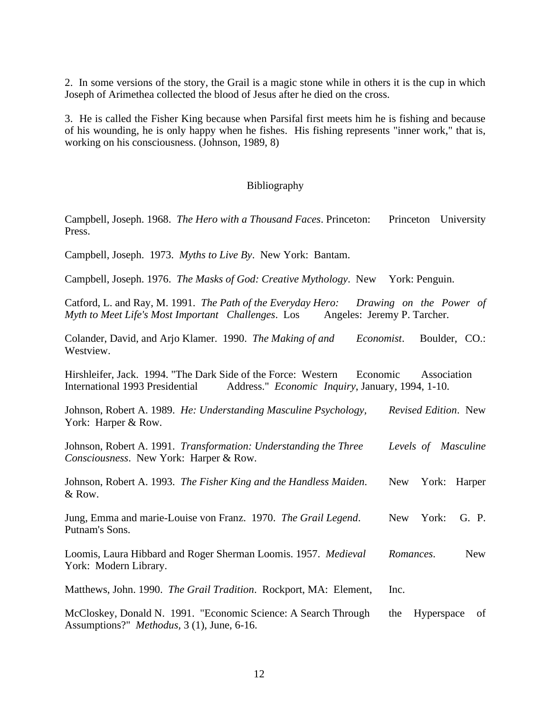2. In some versions of the story, the Grail is a magic stone while in others it is the cup in which Joseph of Arimethea collected the blood of Jesus after he died on the cross.

3. He is called the Fisher King because when Parsifal first meets him he is fishing and because of his wounding, he is only happy when he fishes. His fishing represents "inner work," that is, working on his consciousness. (Johnson, 1989, 8)

#### Bibliography

Campbell, Joseph. 1968. *The Hero with a Thousand Faces*. Princeton: Princeton University Press.

Campbell, Joseph. 1973. *Myths to Live By*. New York: Bantam.

Campbell, Joseph. 1976. *The Masks of God: Creative Mythology*. New York: Penguin.

Catford, L. and Ray, M. 1991. *The Path of the Everyday Hero: Drawing on the Power of Myth to Meet Life's Most Important Challenges. Los* Angeles: Jeremy P. Tarcher.

Colander, David, and Arjo Klamer. 1990. *The Making of and Economist*. Boulder, CO.: Westview.

Hirshleifer, Jack. 1994. "The Dark Side of the Force: Western Economic Association International 1993 Presidential Address." *Economic Inquiry*, January, 1994, 1-10.

Johnson, Robert A. 1989. *He: Understanding Masculine Psychology, Revised Edition*. New York: Harper & Row.

Johnson, Robert A. 1991. *Transformation: Understanding the Three Levels of Masculine Consciousness*. New York: Harper & Row.

Johnson, Robert A. 1993. *The Fisher King and the Handless Maiden*. New York: Harper & Row.

Jung, Emma and marie-Louise von Franz. 1970. *The Grail Legend*. New York: G. P. Putnam's Sons.

Loomis, Laura Hibbard and Roger Sherman Loomis. 1957. *Medieval Romances*. New York: Modern Library.

Matthews, John. 1990. *The Grail Tradition*. Rockport, MA: Element, Inc.

McCloskey, Donald N. 1991. "Economic Science: A Search Through the Hyperspace of Assumptions?" *Methodus,* 3 (1), June, 6-16.